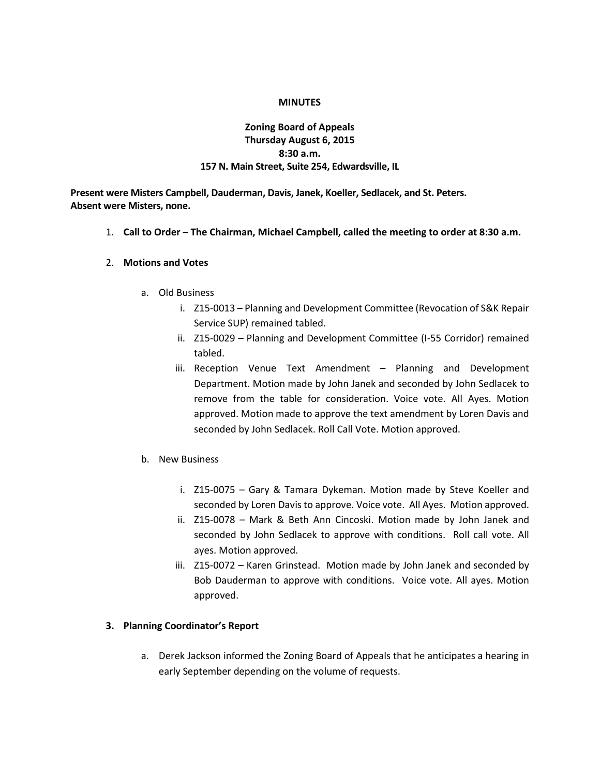#### **MINUTES**

## **Zoning Board of Appeals Thursday August 6, 2015 8:30 a.m. 157 N. Main Street, Suite 254, Edwardsville, IL**

**Present were Misters Campbell, Dauderman, Davis, Janek, Koeller, Sedlacek, and St. Peters. Absent were Misters, none.**

1. **Call to Order – The Chairman, Michael Campbell, called the meeting to order at 8:30 a.m.**

#### 2. **Motions and Votes**

- a. Old Business
	- i. Z15-0013 Planning and Development Committee (Revocation of S&K Repair Service SUP) remained tabled.
	- ii. Z15-0029 Planning and Development Committee (I-55 Corridor) remained tabled.
	- iii. Reception Venue Text Amendment Planning and Development Department. Motion made by John Janek and seconded by John Sedlacek to remove from the table for consideration. Voice vote. All Ayes. Motion approved. Motion made to approve the text amendment by Loren Davis and seconded by John Sedlacek. Roll Call Vote. Motion approved.
- b. New Business
	- i. Z15-0075 Gary & Tamara Dykeman. Motion made by Steve Koeller and seconded by Loren Davis to approve. Voice vote. All Ayes. Motion approved.
	- ii. Z15-0078 Mark & Beth Ann Cincoski. Motion made by John Janek and seconded by John Sedlacek to approve with conditions. Roll call vote. All ayes. Motion approved.
	- iii. Z15-0072 Karen Grinstead. Motion made by John Janek and seconded by Bob Dauderman to approve with conditions. Voice vote. All ayes. Motion approved.

### **3. Planning Coordinator's Report**

a. Derek Jackson informed the Zoning Board of Appeals that he anticipates a hearing in early September depending on the volume of requests.